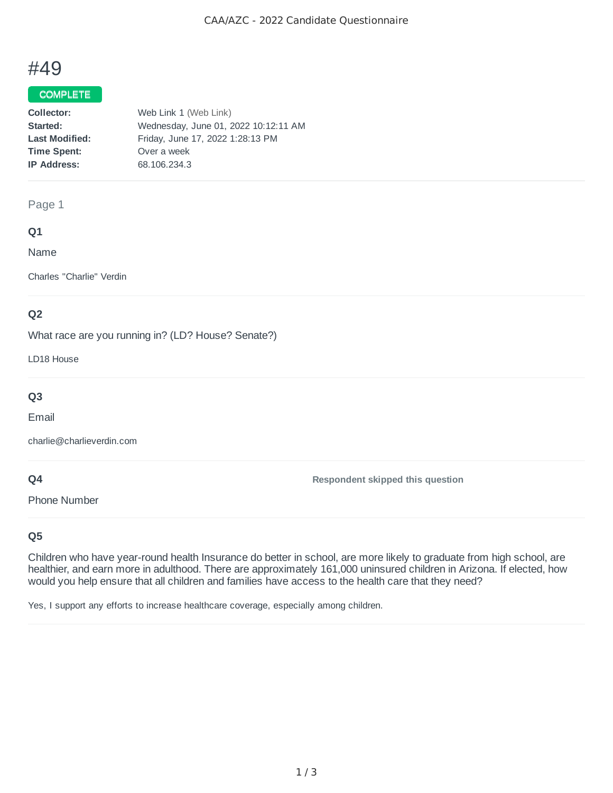# #49

## COMPLETE

| Collector:            | Web Link 1 (Web Link)                |
|-----------------------|--------------------------------------|
| Started:              | Wednesday, June 01, 2022 10:12:11 AM |
| <b>Last Modified:</b> | Friday, June 17, 2022 1:28:13 PM     |
| <b>Time Spent:</b>    | Over a week                          |
| <b>IP Address:</b>    | 68.106.234.3                         |
|                       |                                      |

## Page 1

# **Q1**

Name

Charles "Charlie" Verdin

# **Q2**

What race are you running in? (LD? House? Senate?)

LD18 House

# **Q3**

Email

charlie@charlieverdin.com

# **Q4**

Phone Number

**Respondent skipped this question**

# **Q5**

Children who have year-round health Insurance do better in school, are more likely to graduate from high school, are healthier, and earn more in adulthood. There are approximately 161,000 uninsured children in Arizona. If elected, how would you help ensure that all children and families have access to the health care that they need?

Yes, I support any efforts to increase healthcare coverage, especially among children.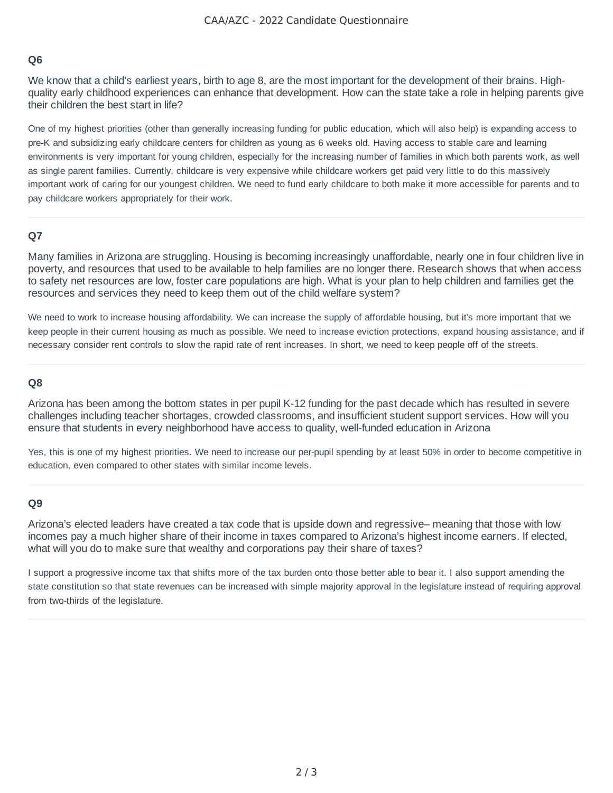# **Q6**

We know that a child's earliest years, birth to age 8, are the most important for the development of their brains. Highquality early childhood experiences can enhance that development. How can the state take a role in helping parents give their children the best start in life?

One of my highest priorities (other than generally increasing funding for public education, which will also help) is expanding access to pre-K and subsidizing early childcare centers for children as young as 6 weeks old. Having access to stable care and learning environments is very important for young children, especially for the increasing number of families in which both parents work, as well as single parent families. Currently, childcare is very expensive while childcare workers get paid very little to do this massively important work of caring for our youngest children. We need to fund early childcare to both make it more accessible for parents and to pay childcare workers appropriately for their work.

#### **Q7**

Many families in Arizona are struggling. Housing is becoming increasingly unaffordable, nearly one in four children live in poverty, and resources that used to be available to help families are no longer there. Research shows that when access to safety net resources are low, foster care populations are high. What is your plan to help children and families get the resources and services they need to keep them out of the child welfare system?

We need to work to increase housing affordability. We can increase the supply of affordable housing, but it's more important that we keep people in their current housing as much as possible. We need to increase eviction protections, expand housing assistance, and if necessary consider rent controls to slow the rapid rate of rent increases. In short, we need to keep people off of the streets.

#### **Q8**

Arizona has been among the bottom states in per pupil K-12 funding for the past decade which has resulted in severe challenges including teacher shortages, crowded classrooms, and insufficient student support services. How will you ensure that students in every neighborhood have access to quality, well-funded education in Arizona

Yes, this is one of my highest priorities. We need to increase our per-pupil spending by at least 50% in order to become competitive in education, even compared to other states with similar income levels.

#### **Q9**

Arizona's elected leaders have created a tax code that is upside down and regressive– meaning that those with low incomes pay a much higher share of their income in taxes compared to Arizona's highest income earners. If elected, what will you do to make sure that wealthy and corporations pay their share of taxes?

I support a progressive income tax that shifts more of the tax burden onto those better able to bear it. I also support amending the state constitution so that state revenues can be increased with simple majority approval in the legislature instead of requiring approval from two-thirds of the legislature.